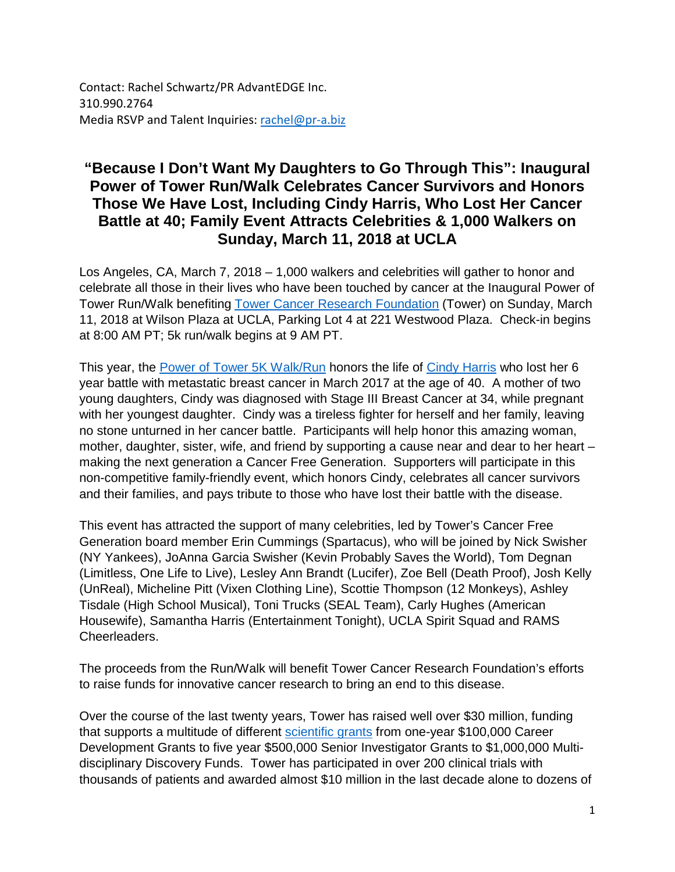Contact: Rachel Schwartz/PR AdvantEDGE Inc. 310.990.2764 Media RSVP and Talent Inquiries: [rachel@pr-a.biz](mailto:rachel@pr-a.biz)

## **"Because I Don't Want My Daughters to Go Through This": Inaugural Power of Tower Run/Walk Celebrates Cancer Survivors and Honors Those We Have Lost, Including Cindy Harris, Who Lost Her Cancer Battle at 40; Family Event Attracts Celebrities & 1,000 Walkers on Sunday, March 11, 2018 at UCLA**

Los Angeles, CA, March 7, 2018 – 1,000 walkers and celebrities will gather to honor and celebrate all those in their lives who have been touched by cancer at the Inaugural Power of Tower Run/Walk benefiting [Tower Cancer Research Foundation](http://towercancer.org/) (Tower) on Sunday, March 11, 2018 at Wilson Plaza at UCLA, Parking Lot 4 at 221 Westwood Plaza. Check-in begins at 8:00 AM PT; 5k run/walk begins at 9 AM PT.

This year, the [Power of Tower 5K Walk/Run](https://fundraising.poweroftower.org/PowerofTower) honors the life of [Cindy Harris](https://www.crowdrise.com/o/en/campaign/benjaminharrit0) who lost her 6 year battle with metastatic breast cancer in March 2017 at the age of 40. A mother of two young daughters, Cindy was diagnosed with Stage III Breast Cancer at 34, while pregnant with her youngest daughter. Cindy was a tireless fighter for herself and her family, leaving no stone unturned in her cancer battle. Participants will help honor this amazing woman, mother, daughter, sister, wife, and friend by supporting a cause near and dear to her heart – making the next generation a Cancer Free Generation. Supporters will participate in this non-competitive family-friendly event, which honors Cindy, celebrates all cancer survivors and their families, and pays tribute to those who have lost their battle with the disease.

This event has attracted the support of many celebrities, led by Tower's Cancer Free Generation board member Erin Cummings (Spartacus), who will be joined by Nick Swisher (NY Yankees), JoAnna Garcia Swisher (Kevin Probably Saves the World), Tom Degnan (Limitless, One Life to Live), Lesley Ann Brandt (Lucifer), Zoe Bell (Death Proof), Josh Kelly (UnReal), Micheline Pitt (Vixen Clothing Line), Scottie Thompson (12 Monkeys), Ashley Tisdale (High School Musical), Toni Trucks (SEAL Team), Carly Hughes (American Housewife), Samantha Harris (Entertainment Tonight), UCLA Spirit Squad and RAMS Cheerleaders.

The proceeds from the Run/Walk will benefit Tower Cancer Research Foundation's efforts to raise funds for innovative cancer research to bring an end to this disease.

Over the course of the last twenty years, Tower has raised well over \$30 million, funding that supports a multitude of different [scientific grants](http://towercancer.org/research-grants/) from one-year \$100,000 Career Development Grants to five year \$500,000 Senior Investigator Grants to \$1,000,000 Multidisciplinary Discovery Funds. Tower has participated in over 200 clinical trials with thousands of patients and awarded almost \$10 million in the last decade alone to dozens of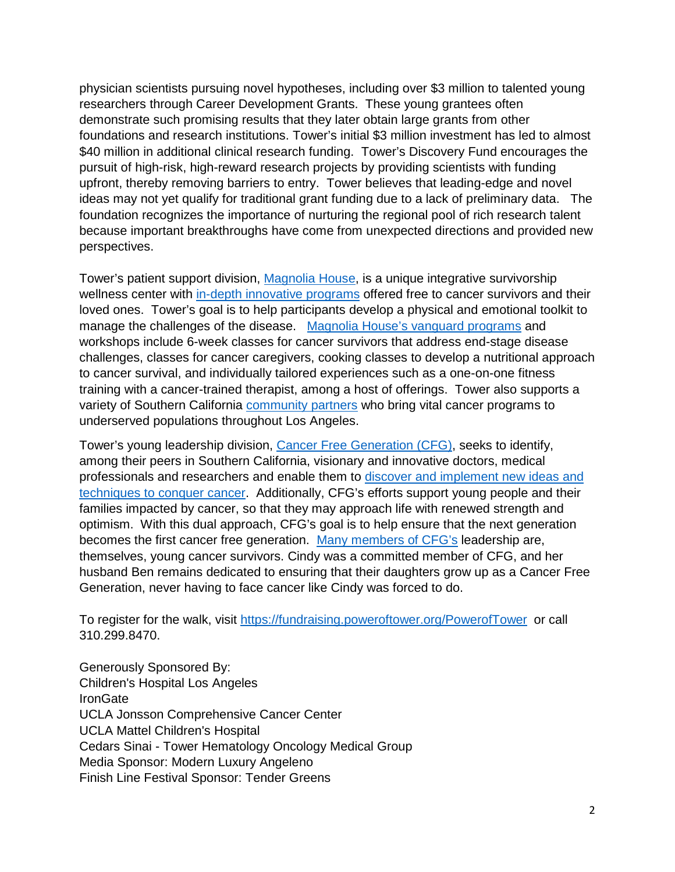physician scientists pursuing novel hypotheses, including over \$3 million to talented young researchers through Career Development Grants. These young grantees often demonstrate such promising results that they later obtain large grants from other foundations and research institutions. Tower's initial \$3 million investment has led to almost \$40 million in additional clinical research funding. Tower's Discovery Fund encourages the pursuit of high-risk, high-reward research projects by providing scientists with funding upfront, thereby removing barriers to entry. Tower believes that leading-edge and novel ideas may not yet qualify for traditional grant funding due to a lack of preliminary data. The foundation recognizes the importance of nurturing the regional pool of rich research talent because important breakthroughs have come from unexpected directions and provided new perspectives.

Tower's patient support division, [Magnolia House,](http://towercancer.org/lacansurvive/) is a unique integrative survivorship wellness center with [in-depth innovative programs](https://www.towercancer.org/magnolia-house-calendar/) offered free to cancer survivors and their loved ones. Tower's goal is to help participants develop a physical and emotional toolkit to manage the challenges of the disease. [Magnolia House's vanguard programs](https://www.towercancer.org/the-meryl-kern-survivorship-program/) and workshops include 6-week classes for cancer survivors that address end-stage disease challenges, classes for cancer caregivers, cooking classes to develop a nutritional approach to cancer survival, and individually tailored experiences such as a one-on-one fitness training with a cancer-trained therapist, among a host of offerings. Tower also supports a variety of Southern California [community partners](http://towercancer.org/community-partnerships/) who bring vital cancer programs to underserved populations throughout Los Angeles.

Tower's young leadership division, [Cancer Free Generation](http://towercancer.org/cancer-free-generation/) (CFG), seeks to identify, among their peers in Southern California, visionary and innovative doctors, medical professionals and researchers and enable them to [discover and implement new ideas and](http://towercancer.org/research-grants-about/)  [techniques to conquer cancer.](http://towercancer.org/research-grants-about/) Additionally, CFG's efforts support young people and their families impacted by cancer, so that they may approach life with renewed strength and optimism. With this dual approach, CFG's goal is to help ensure that the next generation becomes the first cancer free generation. [Many members of CFG's](http://towercancer.org/bio-kelly-prather/) leadership are, themselves, young cancer survivors. Cindy was a committed member of CFG, and her husband Ben remains dedicated to ensuring that their daughters grow up as a Cancer Free Generation, never having to face cancer like Cindy was forced to do.

To register for the walk, visit <https://fundraising.poweroftower.org/PowerofTower> or call 310.299.8470.

Generously Sponsored By: Children's Hospital Los Angeles **IronGate** UCLA Jonsson Comprehensive Cancer Center UCLA Mattel Children's Hospital Cedars Sinai - Tower Hematology Oncology Medical Group Media Sponsor: Modern Luxury Angeleno Finish Line Festival Sponsor: Tender Greens